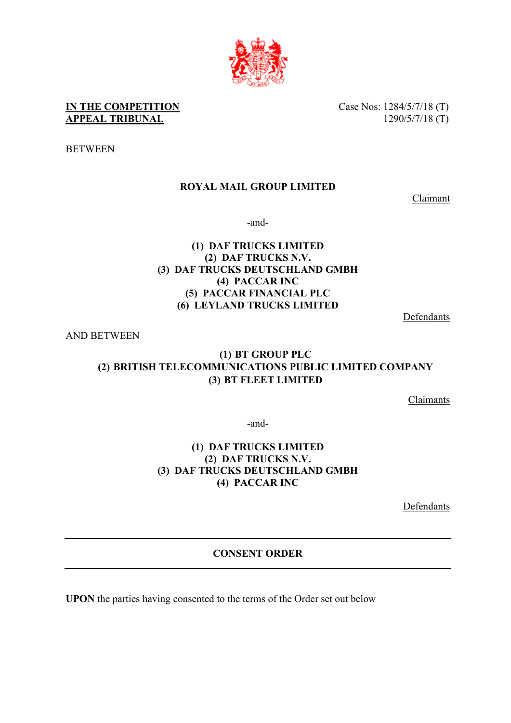

**IN THE COMPETITION** Case Nos: 1284/5/7/18 (T) **APPEAL TRIBUNAL** 1290/5/7/18 (T)

**BETWEEN** 

# **ROYAL MAIL GROUP LIMITED**

Claimant

-and-

### **(1) DAF TRUCKS LIMITED (2) DAF TRUCKS N.V. (3) DAF TRUCKS DEUTSCHLAND GMBH (4) PACCAR INC (5) PACCAR FINANCIAL PLC (6) LEYLAND TRUCKS LIMITED**

Defendants

AND BETWEEN

# **(1) BT GROUP PLC (2) BRITISH TELECOMMUNICATIONS PUBLIC LIMITED COMPANY (3) BT FLEET LIMITED**

Claimants

-and-

#### **(1) DAF TRUCKS LIMITED (2) DAF TRUCKS N.V. (3) DAF TRUCKS DEUTSCHLAND GMBH (4) PACCAR INC**

Defendants

# **CONSENT ORDER**

**UPON** the parties having consented to the terms of the Order set out below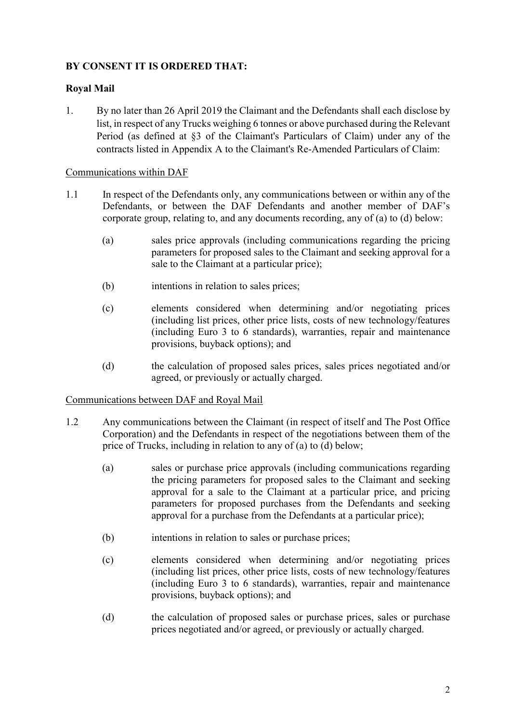## **BY CONSENT IT IS ORDERED THAT:**

## **Royal Mail**

1. By no later than 26 April 2019 the Claimant and the Defendants shall each disclose by list, in respect of any Trucks weighing 6 tonnes or above purchased during the Relevant Period (as defined at §3 of the Claimant's Particulars of Claim) under any of the contracts listed in Appendix A to the Claimant's Re-Amended Particulars of Claim:

#### Communications within DAF

- 1.1 In respect of the Defendants only, any communications between or within any of the Defendants, or between the DAF Defendants and another member of DAF's corporate group, relating to, and any documents recording, any of (a) to (d) below:
	- (a) sales price approvals (including communications regarding the pricing parameters for proposed sales to the Claimant and seeking approval for a sale to the Claimant at a particular price);
	- (b) intentions in relation to sales prices;
	- (c) elements considered when determining and/or negotiating prices (including list prices, other price lists, costs of new technology/features (including Euro 3 to 6 standards), warranties, repair and maintenance provisions, buyback options); and
	- (d) the calculation of proposed sales prices, sales prices negotiated and/or agreed, or previously or actually charged.

#### Communications between DAF and Royal Mail

- 1.2 Any communications between the Claimant (in respect of itself and The Post Office Corporation) and the Defendants in respect of the negotiations between them of the price of Trucks, including in relation to any of (a) to (d) below;
	- (a) sales or purchase price approvals (including communications regarding the pricing parameters for proposed sales to the Claimant and seeking approval for a sale to the Claimant at a particular price, and pricing parameters for proposed purchases from the Defendants and seeking approval for a purchase from the Defendants at a particular price);
	- (b) intentions in relation to sales or purchase prices;
	- (c) elements considered when determining and/or negotiating prices (including list prices, other price lists, costs of new technology/features (including Euro 3 to 6 standards), warranties, repair and maintenance provisions, buyback options); and
	- (d) the calculation of proposed sales or purchase prices, sales or purchase prices negotiated and/or agreed, or previously or actually charged.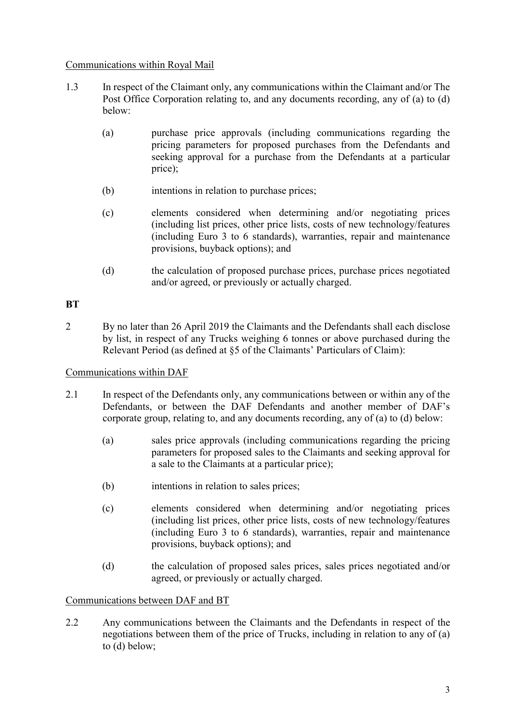#### Communications within Royal Mail

- 1.3 In respect of the Claimant only, any communications within the Claimant and/or The Post Office Corporation relating to, and any documents recording, any of (a) to (d) below:
	- (a) purchase price approvals (including communications regarding the pricing parameters for proposed purchases from the Defendants and seeking approval for a purchase from the Defendants at a particular price);
	- (b) intentions in relation to purchase prices;
	- (c) elements considered when determining and/or negotiating prices (including list prices, other price lists, costs of new technology/features (including Euro 3 to 6 standards), warranties, repair and maintenance provisions, buyback options); and
	- (d) the calculation of proposed purchase prices, purchase prices negotiated and/or agreed, or previously or actually charged.

#### **BT**

2 By no later than 26 April 2019 the Claimants and the Defendants shall each disclose by list, in respect of any Trucks weighing 6 tonnes or above purchased during the Relevant Period (as defined at §5 of the Claimants' Particulars of Claim):

#### Communications within DAF

- 2.1 In respect of the Defendants only, any communications between or within any of the Defendants, or between the DAF Defendants and another member of DAF's corporate group, relating to, and any documents recording, any of (a) to (d) below:
	- (a) sales price approvals (including communications regarding the pricing parameters for proposed sales to the Claimants and seeking approval for a sale to the Claimants at a particular price);
	- (b) intentions in relation to sales prices;
	- (c) elements considered when determining and/or negotiating prices (including list prices, other price lists, costs of new technology/features (including Euro 3 to 6 standards), warranties, repair and maintenance provisions, buyback options); and
	- (d) the calculation of proposed sales prices, sales prices negotiated and/or agreed, or previously or actually charged.

#### Communications between DAF and BT

2.2 Any communications between the Claimants and the Defendants in respect of the negotiations between them of the price of Trucks, including in relation to any of (a) to (d) below;